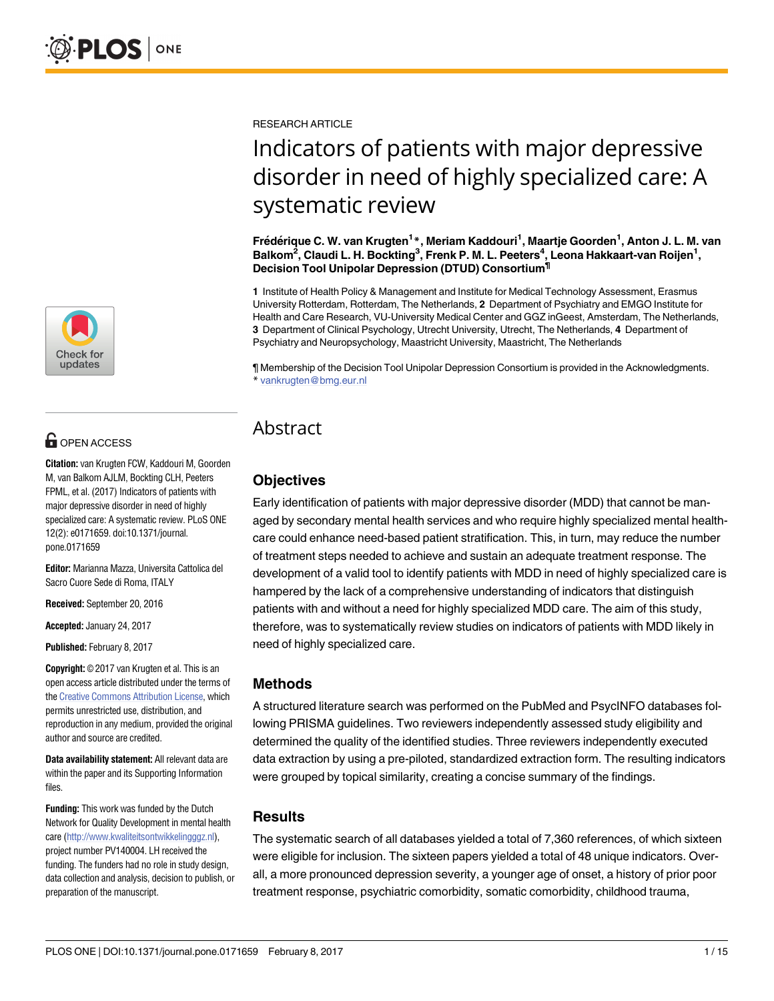

# **G** OPEN ACCESS

**Citation:** van Krugten FCW, Kaddouri M, Goorden M, van Balkom AJLM, Bockting CLH, Peeters FPML, et al. (2017) Indicators of patients with major depressive disorder in need of highly specialized care: A systematic review. PLoS ONE 12(2): e0171659. doi:10.1371/journal. pone.0171659

**Editor:** Marianna Mazza, Universita Cattolica del Sacro Cuore Sede di Roma, ITALY

**Received:** September 20, 2016

**Accepted:** January 24, 2017

**Published:** February 8, 2017

**Copyright:** © 2017 van Krugten et al. This is an open access article distributed under the terms of the Creative [Commons](http://creativecommons.org/licenses/by/4.0/) Attribution License, which permits unrestricted use, distribution, and reproduction in any medium, provided the original author and source are credited.

**Data availability statement:** All relevant data are within the paper and its Supporting Information files.

**Funding:** This work was funded by the Dutch Network for Quality Development in mental health care [\(http://www.kwaliteitsontwikkelingggz.nl](http://www.kwaliteitsontwikkelingggz.nl)), project number PV140004. LH received the funding. The funders had no role in study design. data collection and analysis, decision to publish, or preparation of the manuscript.

RESEARCH ARTICLE

# Indicators of patients with major depressive disorder in need of highly specialized care: A systematic review

**Fre´de´rique C. W. van Krugten1** \***, Meriam Kaddouri1 , Maartje Goorden1 , Anton J. L. M. van Balkom2 , Claudi L. H. Bockting3 , Frenk P. M. L. Peeters4 , Leona Hakkaart-van Roijen1 , Decision Tool Unipolar Depression (DTUD) Consortium¶**

**1** Institute of Health Policy & Management and Institute for Medical Technology Assessment, Erasmus University Rotterdam, Rotterdam, The Netherlands, **2** Department of Psychiatry and EMGO Institute for Health and Care Research, VU-University Medical Center and GGZ inGeest, Amsterdam, The Netherlands, **3** Department of Clinical Psychology, Utrecht University, Utrecht, The Netherlands, **4** Department of Psychiatry and Neuropsychology, Maastricht University, Maastricht, The Netherlands

¶ Membership of the Decision Tool Unipolar Depression Consortium is provided in the Acknowledgments. \* vankrugten@bmg.eur.nl

# Abstract

# **Objectives**

Early identification of patients with major depressive disorder (MDD) that cannot be managed by secondary mental health services and who require highly specialized mental healthcare could enhance need-based patient stratification. This, in turn, may reduce the number of treatment steps needed to achieve and sustain an adequate treatment response. The development of a valid tool to identify patients with MDD in need of highly specialized care is hampered by the lack of a comprehensive understanding of indicators that distinguish patients with and without a need for highly specialized MDD care. The aim of this study, therefore, was to systematically review studies on indicators of patients with MDD likely in need of highly specialized care.

# **Methods**

A structured literature search was performed on the PubMed and PsycINFO databases following PRISMA guidelines. Two reviewers independently assessed study eligibility and determined the quality of the identified studies. Three reviewers independently executed data extraction by using a pre-piloted, standardized extraction form. The resulting indicators were grouped by topical similarity, creating a concise summary of the findings.

# **Results**

The systematic search of all databases yielded a total of 7,360 references, of which sixteen were eligible for inclusion. The sixteen papers yielded a total of 48 unique indicators. Overall, a more pronounced depression severity, a younger age of onset, a history of prior poor treatment response, psychiatric comorbidity, somatic comorbidity, childhood trauma,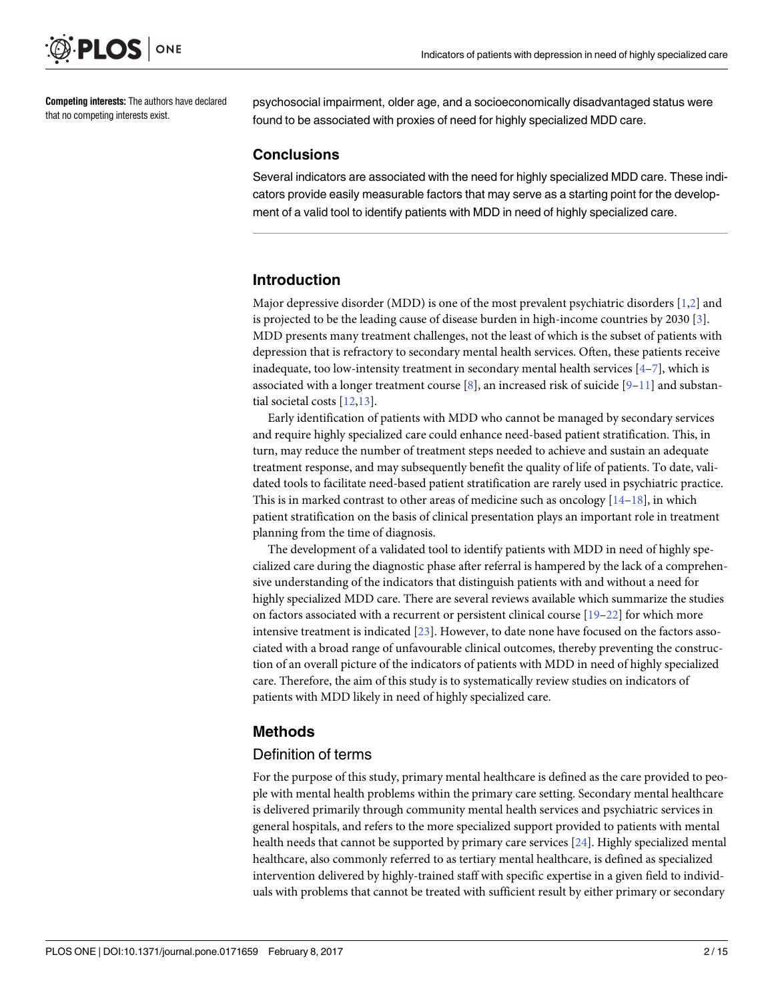<span id="page-1-0"></span>

**Competing interests:** The authors have declared that no competing interests exist.

psychosocial impairment, older age, and a socioeconomically disadvantaged status were found to be associated with proxies of need for highly specialized MDD care.

### **Conclusions**

Several indicators are associated with the need for highly specialized MDD care. These indicators provide easily measurable factors that may serve as a starting point for the development of a valid tool to identify patients with MDD in need of highly specialized care.

# **Introduction**

Major depressive disorder (MDD) is one of the most prevalent psychiatric disorders [[1,2\]](#page-11-0) and is projected to be the leading cause of disease burden in high-income countries by 2030 [\[3\]](#page-11-0). MDD presents many treatment challenges, not the least of which is the subset of patients with depression that is refractory to secondary mental health services. Often, these patients receive inadequate, too low-intensity treatment in secondary mental health services [\[4–7\]](#page-11-0), which is associated with a longer treatment course [\[8\]](#page-11-0), an increased risk of suicide [\[9–11\]](#page-11-0) and substantial societal costs [[12](#page-11-0)[,13\]](#page-12-0).

Early identification of patients with MDD who cannot be managed by secondary services and require highly specialized care could enhance need-based patient stratification. This, in turn, may reduce the number of treatment steps needed to achieve and sustain an adequate treatment response, and may subsequently benefit the quality of life of patients. To date, validated tools to facilitate need-based patient stratification are rarely used in psychiatric practice. This is in marked contrast to other areas of medicine such as oncology  $[14-18]$ , in which patient stratification on the basis of clinical presentation plays an important role in treatment planning from the time of diagnosis.

The development of a validated tool to identify patients with MDD in need of highly specialized care during the diagnostic phase after referral is hampered by the lack of a comprehensive understanding of the indicators that distinguish patients with and without a need for highly specialized MDD care. There are several reviews available which summarize the studies on factors associated with a recurrent or persistent clinical course [\[19–22](#page-12-0)] for which more intensive treatment is indicated [[23](#page-12-0)]. However, to date none have focused on the factors associated with a broad range of unfavourable clinical outcomes, thereby preventing the construction of an overall picture of the indicators of patients with MDD in need of highly specialized care. Therefore, the aim of this study is to systematically review studies on indicators of patients with MDD likely in need of highly specialized care.

# **Methods**

# Definition of terms

For the purpose of this study, primary mental healthcare is defined as the care provided to people with mental health problems within the primary care setting. Secondary mental healthcare is delivered primarily through community mental health services and psychiatric services in general hospitals, and refers to the more specialized support provided to patients with mental health needs that cannot be supported by primary care services [\[24\]](#page-12-0). Highly specialized mental healthcare, also commonly referred to as tertiary mental healthcare, is defined as specialized intervention delivered by highly-trained staff with specific expertise in a given field to individuals with problems that cannot be treated with sufficient result by either primary or secondary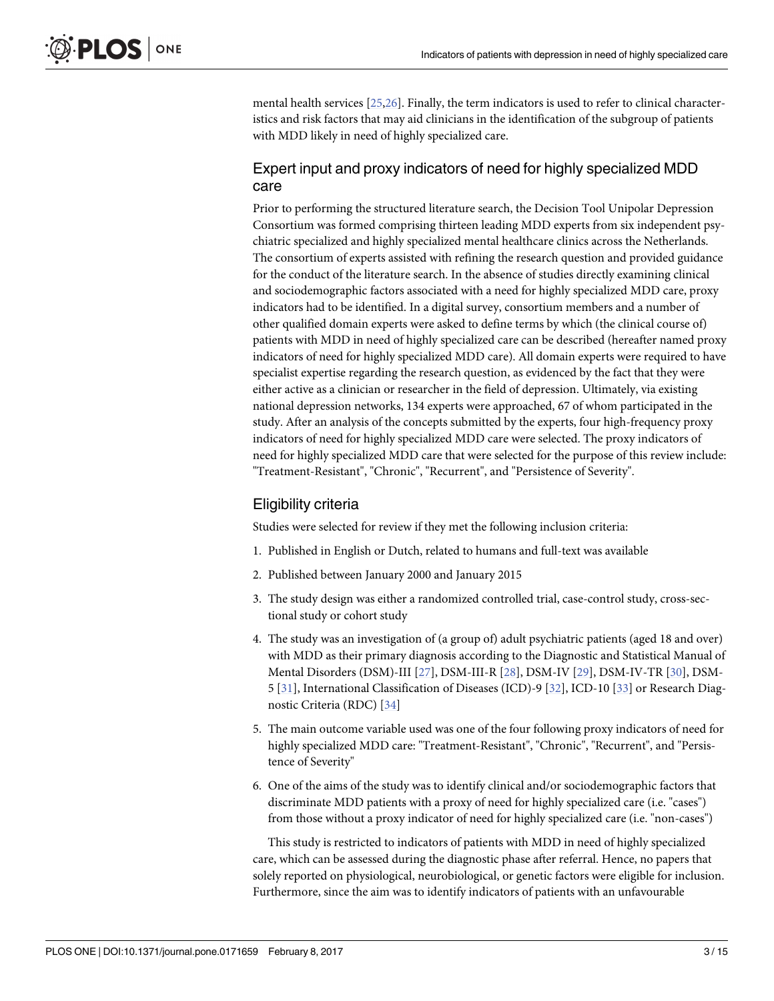<span id="page-2-0"></span>mental health services [\[25,26](#page-12-0)]. Finally, the term indicators is used to refer to clinical characteristics and risk factors that may aid clinicians in the identification of the subgroup of patients with MDD likely in need of highly specialized care.

# Expert input and proxy indicators of need for highly specialized MDD care

Prior to performing the structured literature search, the Decision Tool Unipolar Depression Consortium was formed comprising thirteen leading MDD experts from six independent psychiatric specialized and highly specialized mental healthcare clinics across the Netherlands. The consortium of experts assisted with refining the research question and provided guidance for the conduct of the literature search. In the absence of studies directly examining clinical and sociodemographic factors associated with a need for highly specialized MDD care, proxy indicators had to be identified. In a digital survey, consortium members and a number of other qualified domain experts were asked to define terms by which (the clinical course of) patients with MDD in need of highly specialized care can be described (hereafter named proxy indicators of need for highly specialized MDD care). All domain experts were required to have specialist expertise regarding the research question, as evidenced by the fact that they were either active as a clinician or researcher in the field of depression. Ultimately, via existing national depression networks, 134 experts were approached, 67 of whom participated in the study. After an analysis of the concepts submitted by the experts, four high-frequency proxy indicators of need for highly specialized MDD care were selected. The proxy indicators of need for highly specialized MDD care that were selected for the purpose of this review include: "Treatment-Resistant", "Chronic", "Recurrent", and "Persistence of Severity".

#### Eligibility criteria

Studies were selected for review if they met the following inclusion criteria:

- 1. Published in English or Dutch, related to humans and full-text was available
- 2. Published between January 2000 and January 2015
- 3. The study design was either a randomized controlled trial, case-control study, cross-sectional study or cohort study
- 4. The study was an investigation of (a group of) adult psychiatric patients (aged 18 and over) with MDD as their primary diagnosis according to the Diagnostic and Statistical Manual of Mental Disorders (DSM)-III [\[27\]](#page-12-0), DSM-III-R [[28](#page-12-0)], DSM-IV [[29](#page-12-0)], DSM-IV-TR [\[30\]](#page-12-0), DSM-5 [\[31\]](#page-12-0), International Classification of Diseases (ICD)-9 [[32](#page-12-0)], ICD-10 [[33](#page-12-0)] or Research Diagnostic Criteria (RDC) [\[34\]](#page-12-0)
- 5. The main outcome variable used was one of the four following proxy indicators of need for highly specialized MDD care: "Treatment-Resistant", "Chronic", "Recurrent", and "Persistence of Severity"
- 6. One of the aims of the study was to identify clinical and/or sociodemographic factors that discriminate MDD patients with a proxy of need for highly specialized care (i.e. "cases") from those without a proxy indicator of need for highly specialized care (i.e. "non-cases")

This study is restricted to indicators of patients with MDD in need of highly specialized care, which can be assessed during the diagnostic phase after referral. Hence, no papers that solely reported on physiological, neurobiological, or genetic factors were eligible for inclusion. Furthermore, since the aim was to identify indicators of patients with an unfavourable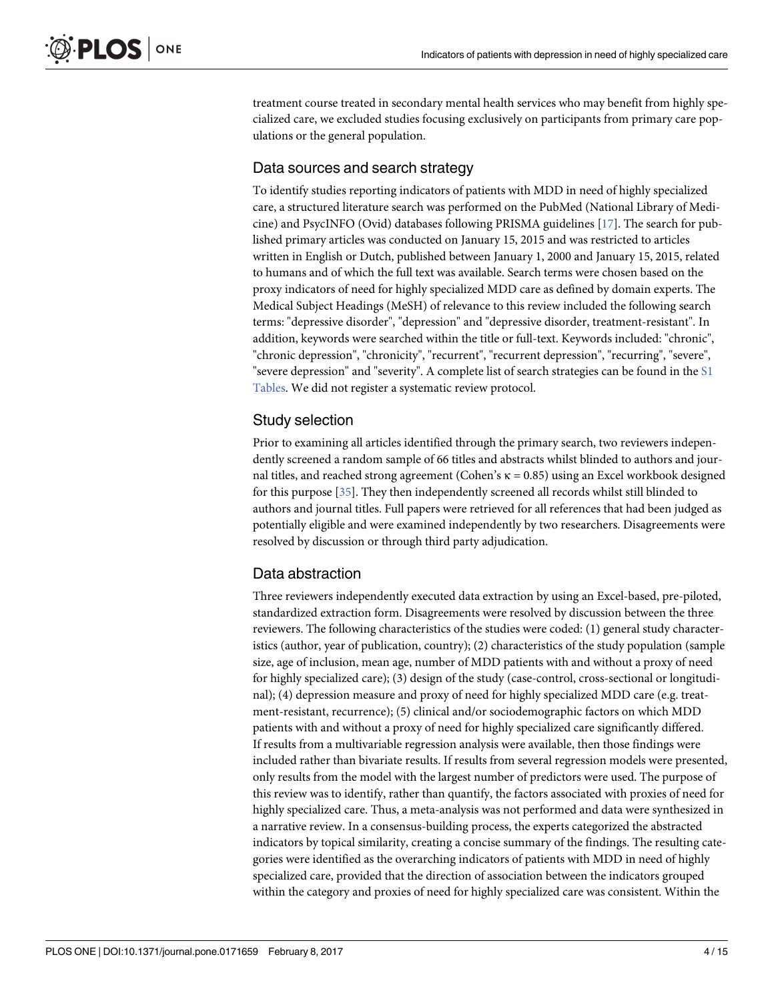<span id="page-3-0"></span>treatment course treated in secondary mental health services who may benefit from highly specialized care, we excluded studies focusing exclusively on participants from primary care populations or the general population.

# Data sources and search strategy

To identify studies reporting indicators of patients with MDD in need of highly specialized care, a structured literature search was performed on the PubMed (National Library of Medicine) and PsycINFO (Ovid) databases following PRISMA guidelines [\[17\]](#page-12-0). The search for published primary articles was conducted on January 15, 2015 and was restricted to articles written in English or Dutch, published between January 1, 2000 and January 15, 2015, related to humans and of which the full text was available. Search terms were chosen based on the proxy indicators of need for highly specialized MDD care as defined by domain experts. The Medical Subject Headings (MeSH) of relevance to this review included the following search terms: "depressive disorder", "depression" and "depressive disorder, treatment-resistant". In addition, keywords were searched within the title or full-text. Keywords included: "chronic", "chronic depression", "chronicity", "recurrent", "recurrent depression", "recurring", "severe", "severe depression" and "severity". A complete list of search strategies can be found in the [S1](#page-10-0) [Tables.](#page-10-0) We did not register a systematic review protocol.

# Study selection

Prior to examining all articles identified through the primary search, two reviewers independently screened a random sample of 66 titles and abstracts whilst blinded to authors and journal titles, and reached strong agreement (Cohen's  $\kappa = 0.85$ ) using an Excel workbook designed for this purpose [\[35\]](#page-12-0). They then independently screened all records whilst still blinded to authors and journal titles. Full papers were retrieved for all references that had been judged as potentially eligible and were examined independently by two researchers. Disagreements were resolved by discussion or through third party adjudication.

# Data abstraction

Three reviewers independently executed data extraction by using an Excel-based, pre-piloted, standardized extraction form. Disagreements were resolved by discussion between the three reviewers. The following characteristics of the studies were coded: (1) general study characteristics (author, year of publication, country); (2) characteristics of the study population (sample size, age of inclusion, mean age, number of MDD patients with and without a proxy of need for highly specialized care); (3) design of the study (case-control, cross-sectional or longitudinal); (4) depression measure and proxy of need for highly specialized MDD care (e.g. treatment-resistant, recurrence); (5) clinical and/or sociodemographic factors on which MDD patients with and without a proxy of need for highly specialized care significantly differed. If results from a multivariable regression analysis were available, then those findings were included rather than bivariate results. If results from several regression models were presented, only results from the model with the largest number of predictors were used. The purpose of this review was to identify, rather than quantify, the factors associated with proxies of need for highly specialized care. Thus, a meta-analysis was not performed and data were synthesized in a narrative review. In a consensus-building process, the experts categorized the abstracted indicators by topical similarity, creating a concise summary of the findings. The resulting categories were identified as the overarching indicators of patients with MDD in need of highly specialized care, provided that the direction of association between the indicators grouped within the category and proxies of need for highly specialized care was consistent. Within the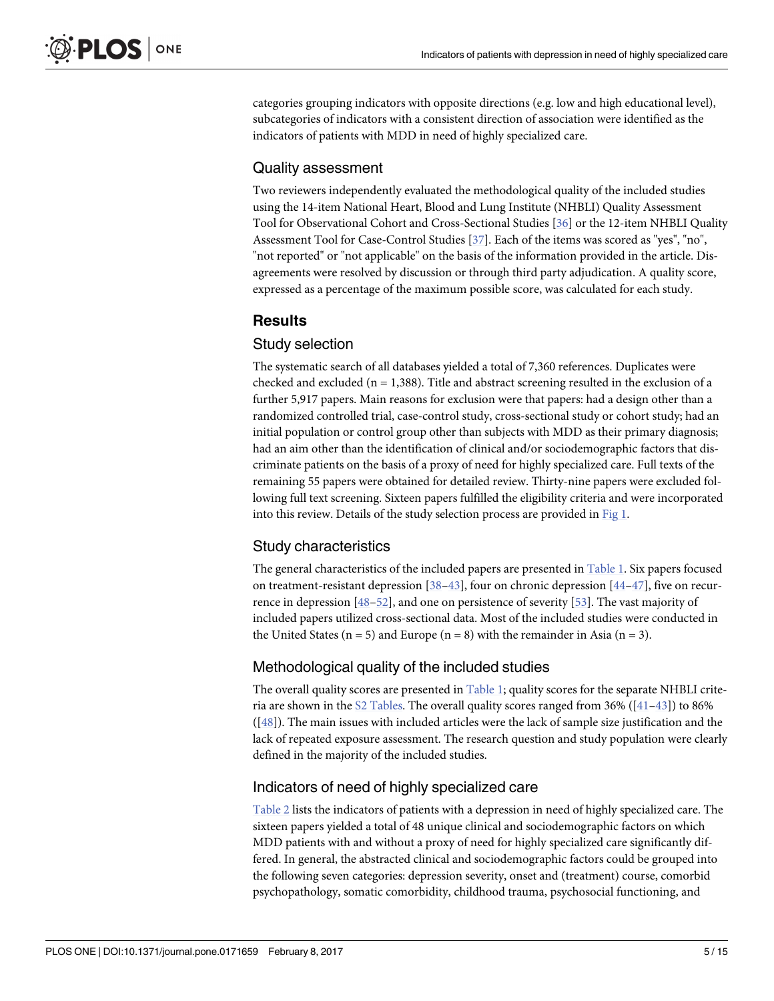<span id="page-4-0"></span>categories grouping indicators with opposite directions (e.g. low and high educational level), subcategories of indicators with a consistent direction of association were identified as the indicators of patients with MDD in need of highly specialized care.

#### Quality assessment

Two reviewers independently evaluated the methodological quality of the included studies using the 14-item National Heart, Blood and Lung Institute (NHBLI) Quality Assessment Tool for Observational Cohort and Cross-Sectional Studies [\[36\]](#page-12-0) or the 12-item NHBLI Quality Assessment Tool for Case-Control Studies [[37](#page-13-0)]. Each of the items was scored as "yes", "no", "not reported" or "not applicable" on the basis of the information provided in the article. Disagreements were resolved by discussion or through third party adjudication. A quality score, expressed as a percentage of the maximum possible score, was calculated for each study.

#### **Results**

#### Study selection

The systematic search of all databases yielded a total of 7,360 references. Duplicates were checked and excluded ( $n = 1,388$ ). Title and abstract screening resulted in the exclusion of a further 5,917 papers. Main reasons for exclusion were that papers: had a design other than a randomized controlled trial, case-control study, cross-sectional study or cohort study; had an initial population or control group other than subjects with MDD as their primary diagnosis; had an aim other than the identification of clinical and/or sociodemographic factors that discriminate patients on the basis of a proxy of need for highly specialized care. Full texts of the remaining 55 papers were obtained for detailed review. Thirty-nine papers were excluded following full text screening. Sixteen papers fulfilled the eligibility criteria and were incorporated into this review. Details of the study selection process are provided in [Fig](#page-5-0) 1.

#### Study characteristics

The general characteristics of the included papers are presented in [Table](#page-6-0) 1. Six papers focused on treatment-resistant depression [[38](#page-13-0)–[43](#page-13-0)], four on chronic depression [\[44–47\]](#page-13-0), five on recurrence in depression [\[48–52](#page-13-0)], and one on persistence of severity [[53](#page-13-0)]. The vast majority of included papers utilized cross-sectional data. Most of the included studies were conducted in the United States ( $n = 5$ ) and Europe ( $n = 8$ ) with the remainder in Asia ( $n = 3$ ).

#### Methodological quality of the included studies

The overall quality scores are presented in [Table](#page-6-0) 1; quality scores for the separate NHBLI criteria are shown in the  $\S2$  [Tables.](#page-10-0) The overall quality scores ranged from 36% ([ $41-43$ ]) to 86% ([[48](#page-13-0)]). The main issues with included articles were the lack of sample size justification and the lack of repeated exposure assessment. The research question and study population were clearly defined in the majority of the included studies.

#### Indicators of need of highly specialized care

[Table](#page-7-0) 2 lists the indicators of patients with a depression in need of highly specialized care. The sixteen papers yielded a total of 48 unique clinical and sociodemographic factors on which MDD patients with and without a proxy of need for highly specialized care significantly differed. In general, the abstracted clinical and sociodemographic factors could be grouped into the following seven categories: depression severity, onset and (treatment) course, comorbid psychopathology, somatic comorbidity, childhood trauma, psychosocial functioning, and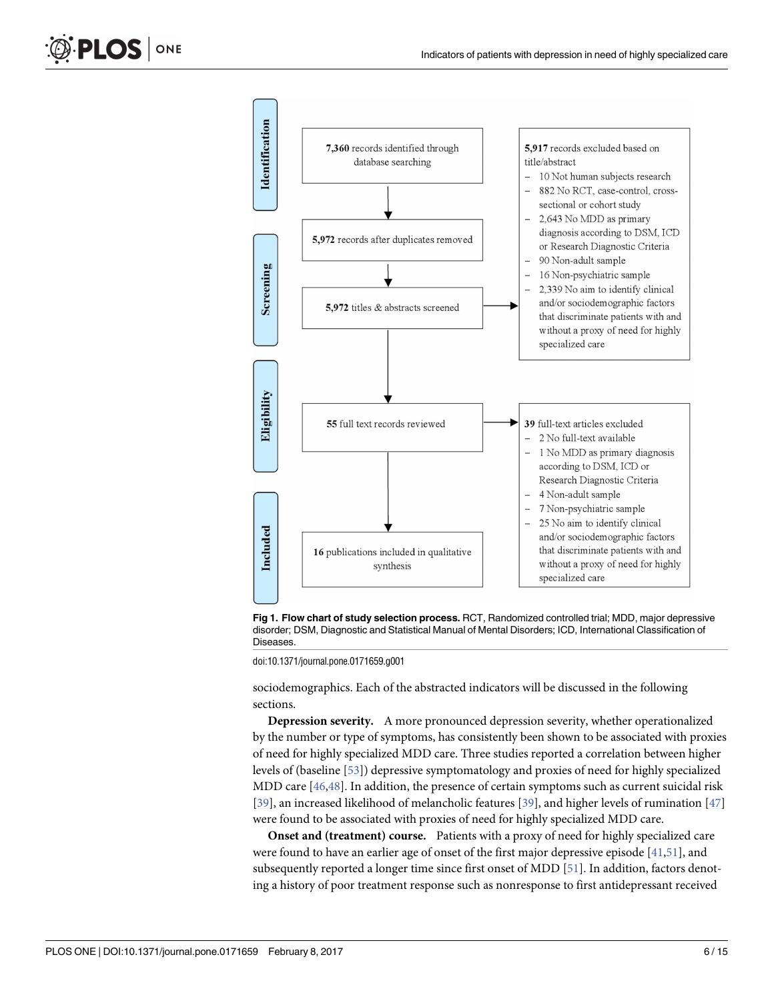<span id="page-5-0"></span>



doi:10.1371/journal.pone.0171659.g001

sociodemographics. Each of the abstracted indicators will be discussed in the following sections.

**Depression severity.** A more pronounced depression severity, whether operationalized by the number or type of symptoms, has consistently been shown to be associated with proxies of need for highly specialized MDD care. Three studies reported a correlation between higher levels of (baseline [\[53\]](#page-13-0)) depressive symptomatology and proxies of need for highly specialized MDD care [\[46](#page-13-0),[48](#page-13-0)]. In addition, the presence of certain symptoms such as current suicidal risk [\[39\]](#page-13-0), an increased likelihood of melancholic features [\[39\]](#page-13-0), and higher levels of rumination [\[47\]](#page-13-0) were found to be associated with proxies of need for highly specialized MDD care.

**Onset and (treatment) course.** Patients with a proxy of need for highly specialized care were found to have an earlier age of onset of the first major depressive episode [\[41,51\]](#page-13-0), and subsequently reported a longer time since first onset of MDD [[51](#page-13-0)]. In addition, factors denoting a history of poor treatment response such as nonresponse to first antidepressant received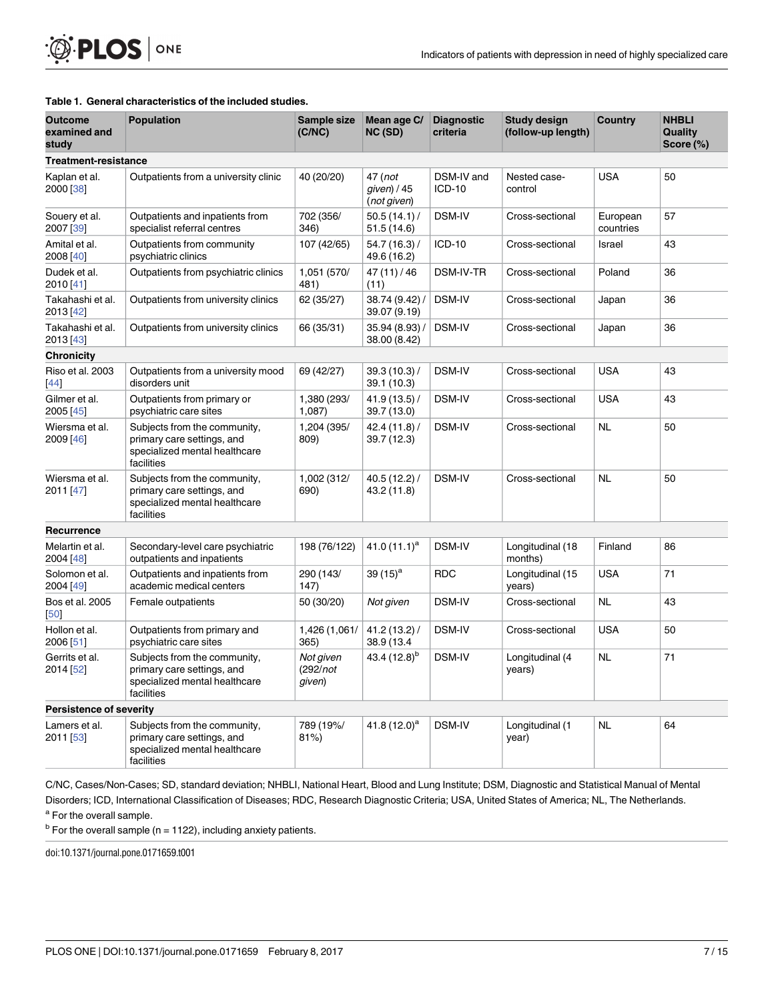<span id="page-6-0"></span>

#### **[Table](#page-4-0) 1. General characteristics of the included studies.**

| <b>Outcome</b><br>examined and<br>study | <b>Population</b>                                                                                         | <b>Sample size</b><br>(C/NC)    | Mean age C/<br>NC (SD)                  | <b>Diagnostic</b><br>criteria | <b>Study design</b><br>(follow-up length) | <b>Country</b>        | <b>NHBLI</b><br>Quality<br>Score (%) |
|-----------------------------------------|-----------------------------------------------------------------------------------------------------------|---------------------------------|-----------------------------------------|-------------------------------|-------------------------------------------|-----------------------|--------------------------------------|
| <b>Treatment-resistance</b>             |                                                                                                           |                                 |                                         |                               |                                           |                       |                                      |
| Kaplan et al.<br>2000 [38]              | Outpatients from a university clinic                                                                      | 40 (20/20)                      | 47 (not<br>$given)$ / 45<br>(not given) | DSM-IV and<br>ICD-10          | Nested case-<br>control                   | <b>USA</b>            | 50                                   |
| Souery et al.<br>2007 [39]              | Outpatients and inpatients from<br>specialist referral centres                                            | 702 (356/<br>346)               | 50.5(14.1)<br>51.5(14.6)                | <b>DSM-IV</b>                 | Cross-sectional                           | European<br>countries | 57                                   |
| Amital et al.<br>2008 [40]              | Outpatients from community<br>psychiatric clinics                                                         | 107 (42/65)                     | 54.7(16.3)<br>49.6 (16.2)               | <b>ICD-10</b>                 | Cross-sectional                           | Israel                | 43                                   |
| Dudek et al.<br>2010 [41]               | Outpatients from psychiatric clinics                                                                      | 1,051 (570/<br>481)             | 47(11)/46<br>(11)                       | <b>DSM-IV-TR</b>              | Cross-sectional                           | Poland                | 36                                   |
| Takahashi et al.<br>2013 [42]           | Outpatients from university clinics                                                                       | 62 (35/27)                      | 38.74 (9.42) /<br>39.07 (9.19)          | <b>DSM-IV</b>                 | Cross-sectional                           | Japan                 | 36                                   |
| Takahashi et al.<br>2013 [43]           | Outpatients from university clinics                                                                       | 66 (35/31)                      | 35.94 (8.93) /<br>38.00 (8.42)          | DSM-IV                        | Cross-sectional                           | Japan                 | 36                                   |
| <b>Chronicity</b>                       |                                                                                                           |                                 |                                         |                               |                                           |                       |                                      |
| Riso et al. 2003<br>$[44]$              | Outpatients from a university mood<br>disorders unit                                                      | 69 (42/27)                      | 39.3(10.3)<br>39.1(10.3)                | <b>DSM-IV</b>                 | Cross-sectional                           | <b>USA</b>            | 43                                   |
| Gilmer et al.<br>2005 [45]              | Outpatients from primary or<br>psychiatric care sites                                                     | 1,380 (293/<br>1,087            | 41.9(13.5)<br>39.7 (13.0)               | <b>DSM-IV</b>                 | Cross-sectional                           | <b>USA</b>            | 43                                   |
| Wiersma et al.<br>2009 [46]             | Subjects from the community,<br>primary care settings, and<br>specialized mental healthcare<br>facilities | 1,204 (395/<br>809)             | 42.4(11.8)<br>39.7 (12.3)               | DSM-IV                        | Cross-sectional                           | <b>NL</b>             | 50                                   |
| Wiersma et al.<br>2011 [47]             | Subjects from the community,<br>primary care settings, and<br>specialized mental healthcare<br>facilities | 1,002 (312/<br>690)             | 40.5(12.2)<br>43.2 (11.8)               | <b>DSM-IV</b>                 | Cross-sectional                           | <b>NL</b>             | 50                                   |
| <b>Recurrence</b>                       |                                                                                                           |                                 |                                         |                               |                                           |                       |                                      |
| Melartin et al.<br>2004 [48]            | Secondary-level care psychiatric<br>outpatients and inpatients                                            | 198 (76/122)                    | 41.0 $(11.1)^a$                         | <b>DSM-IV</b>                 | Longitudinal (18<br>months)               | Finland               | 86                                   |
| Solomon et al.<br>2004 [49]             | Outpatients and inpatients from<br>academic medical centers                                               | 290 (143/<br>147)               | 39 $(15)^a$                             | <b>RDC</b>                    | Longitudinal (15<br>years)                | <b>USA</b>            | $71$                                 |
| Bos et al. 2005<br>[50]                 | Female outpatients                                                                                        | 50 (30/20)                      | Not given                               | <b>DSM-IV</b>                 | Cross-sectional                           | NL.                   | 43                                   |
| Hollon et al.<br>2006 [51]              | Outpatients from primary and<br>psychiatric care sites                                                    | 1,426 (1,061/<br>365)           | 41.2(13.2)<br>38.9 (13.4                | <b>DSM-IV</b>                 | Cross-sectional                           | <b>USA</b>            | 50                                   |
| Gerrits et al.<br>2014 [52]             | Subjects from the community,<br>primary care settings, and<br>specialized mental healthcare<br>facilities | Not given<br>(292/not<br>given) | 43.4 $(12.8)^{b}$                       | <b>DSM-IV</b>                 | Longitudinal (4<br>years)                 | <b>NL</b>             | $71$                                 |
| <b>Persistence of severity</b>          |                                                                                                           |                                 |                                         |                               |                                           |                       |                                      |
| Lamers et al.<br>2011 [53]              | Subjects from the community,<br>primary care settings, and<br>specialized mental healthcare<br>facilities | 789 (19%/<br>$81\%$             | 41.8 $(12.0)^a$                         | <b>DSM-IV</b>                 | Longitudinal (1<br>year)                  | NL.                   | 64                                   |

C/NC, Cases/Non-Cases; SD, standard deviation; NHBLI, National Heart, Blood and Lung Institute; DSM, Diagnostic and Statistical Manual of Mental Disorders; ICD, International Classification of Diseases; RDC, Research Diagnostic Criteria; USA, United States of America; NL, The Netherlands. a For the overall sample.

 $<sup>b</sup>$  For the overall sample (n = 1122), including anxiety patients.</sup>

doi:10.1371/journal.pone.0171659.t001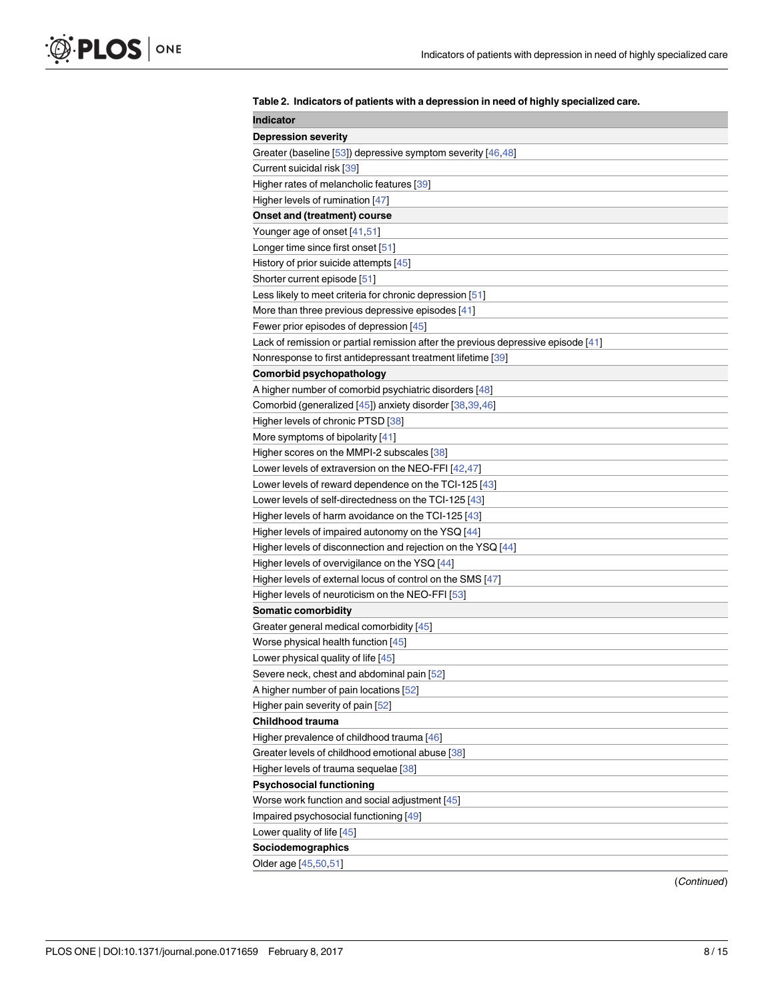<span id="page-7-0"></span>

| <b>Indicator</b>                                                                  |  |
|-----------------------------------------------------------------------------------|--|
| <b>Depression severity</b>                                                        |  |
| Greater (baseline [53]) depressive symptom severity [46,48]                       |  |
| Current suicidal risk [39]                                                        |  |
| Higher rates of melancholic features [39]                                         |  |
| Higher levels of rumination [47]                                                  |  |
| Onset and (treatment) course                                                      |  |
| Younger age of onset [41,51]                                                      |  |
| Longer time since first onset [51]                                                |  |
| History of prior suicide attempts [45]                                            |  |
| Shorter current episode [51]                                                      |  |
| Less likely to meet criteria for chronic depression [51]                          |  |
| More than three previous depressive episodes [41]                                 |  |
| Fewer prior episodes of depression [45]                                           |  |
| Lack of remission or partial remission after the previous depressive episode [41] |  |
| Nonresponse to first antidepressant treatment lifetime [39]                       |  |
| Comorbid psychopathology                                                          |  |
| A higher number of comorbid psychiatric disorders [48]                            |  |
| Comorbid (generalized [45]) anxiety disorder [38,39,46]                           |  |
| Higher levels of chronic PTSD [38]                                                |  |
| More symptoms of bipolarity [41]                                                  |  |
| Higher scores on the MMPI-2 subscales [38]                                        |  |
| Lower levels of extraversion on the NEO-FFI [42,47]                               |  |
| Lower levels of reward dependence on the TCI-125 [43]                             |  |
| Lower levels of self-directedness on the TCI-125 [43]                             |  |
| Higher levels of harm avoidance on the TCI-125 [43]                               |  |
| Higher levels of impaired autonomy on the YSQ [44]                                |  |
| Higher levels of disconnection and rejection on the YSQ [44]                      |  |
| Higher levels of overvigilance on the YSQ [44]                                    |  |
| Higher levels of external locus of control on the SMS [47]                        |  |
| Higher levels of neuroticism on the NEO-FFI [53]                                  |  |
| Somatic comorbidity                                                               |  |
| Greater general medical comorbidity [45]                                          |  |
| Worse physical health function [45]                                               |  |
| Lower physical quality of life [45]                                               |  |
| Severe neck, chest and abdominal pain [52]                                        |  |
| A higher number of pain locations [52]                                            |  |
| Higher pain severity of pain [52]                                                 |  |
| Childhood trauma                                                                  |  |
| Higher prevalence of childhood trauma [46]                                        |  |
| Greater levels of childhood emotional abuse [38]                                  |  |
| Higher levels of trauma sequelae [38]                                             |  |
| <b>Psychosocial functioning</b>                                                   |  |
| Worse work function and social adjustment [45]                                    |  |
| Impaired psychosocial functioning [49]                                            |  |
| Lower quality of life [45]                                                        |  |
| Sociodemographics                                                                 |  |
| Older age [45,50,51]                                                              |  |
|                                                                                   |  |

#### **[Table](#page-4-0) 2. Indicators of patients with a depression in need of highly specialized care.**

(Continued)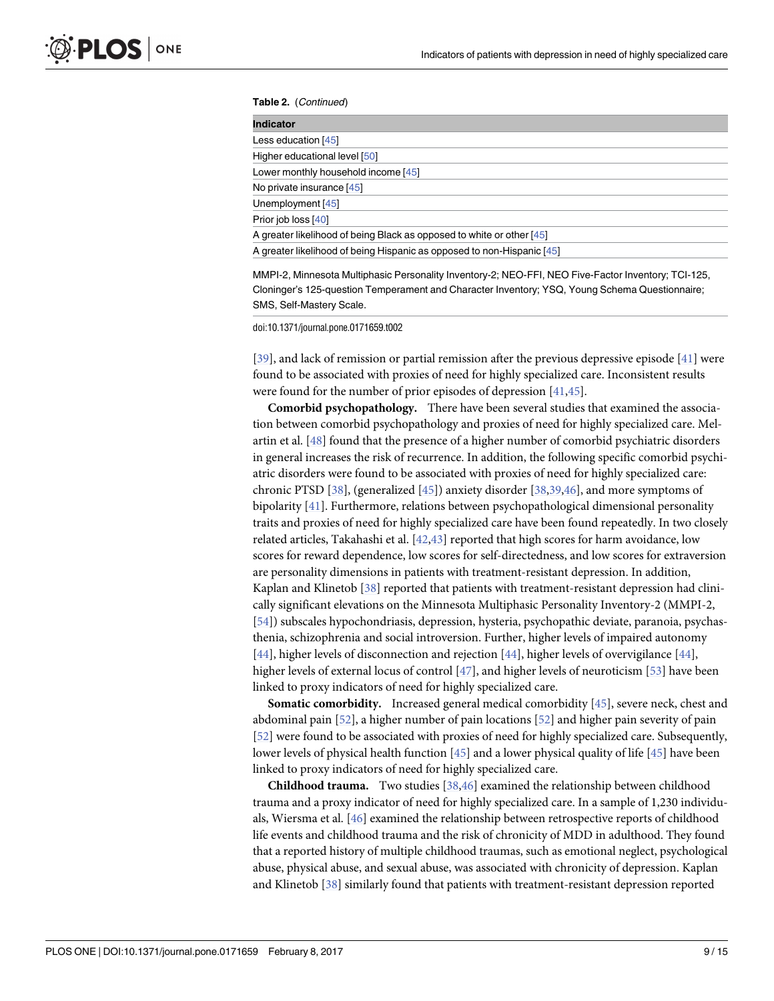#### <span id="page-8-0"></span>**Table 2.** (Continued)

| Indicator                                                              |
|------------------------------------------------------------------------|
| Less education [45]                                                    |
| Higher educational level [50]                                          |
| Lower monthly household income [45]                                    |
| No private insurance [45]                                              |
| Unemployment [45]                                                      |
| Prior job loss [40]                                                    |
| A greater likelihood of being Black as opposed to white or other [45]  |
| A greater likelihood of being Hispanic as opposed to non-Hispanic [45] |
|                                                                        |

MMPI-2, Minnesota Multiphasic Personality Inventory-2; NEO-FFI, NEO Five-Factor Inventory; TCI-125, Cloninger's 125-question Temperament and Character Inventory; YSQ, Young Schema Questionnaire; SMS, Self-Mastery Scale.

doi:10.1371/journal.pone.0171659.t002

[\[39\]](#page-13-0), and lack of remission or partial remission after the previous depressive episode [\[41\]](#page-13-0) were found to be associated with proxies of need for highly specialized care. Inconsistent results were found for the number of prior episodes of depression [[41](#page-13-0),[45\]](#page-13-0).

**Comorbid psychopathology.** There have been several studies that examined the association between comorbid psychopathology and proxies of need for highly specialized care. Melartin et al. [\[48\]](#page-13-0) found that the presence of a higher number of comorbid psychiatric disorders in general increases the risk of recurrence. In addition, the following specific comorbid psychiatric disorders were found to be associated with proxies of need for highly specialized care: chronic PTSD [\[38\]](#page-13-0), (generalized [\[45\]](#page-13-0)) anxiety disorder [[38](#page-13-0),[39,46\]](#page-13-0), and more symptoms of bipolarity [\[41\]](#page-13-0). Furthermore, relations between psychopathological dimensional personality traits and proxies of need for highly specialized care have been found repeatedly. In two closely related articles, Takahashi et al. [\[42,43\]](#page-13-0) reported that high scores for harm avoidance, low scores for reward dependence, low scores for self-directedness, and low scores for extraversion are personality dimensions in patients with treatment-resistant depression. In addition, Kaplan and Klinetob [\[38\]](#page-13-0) reported that patients with treatment-resistant depression had clinically significant elevations on the Minnesota Multiphasic Personality Inventory-2 (MMPI-2, [\[54\]](#page-13-0)) subscales hypochondriasis, depression, hysteria, psychopathic deviate, paranoia, psychasthenia, schizophrenia and social introversion. Further, higher levels of impaired autonomy [\[44\]](#page-13-0), higher levels of disconnection and rejection [[44](#page-13-0)], higher levels of overvigilance [\[44\]](#page-13-0), higher levels of external locus of control [[47](#page-13-0)], and higher levels of neuroticism [\[53\]](#page-13-0) have been linked to proxy indicators of need for highly specialized care.

**Somatic comorbidity.** Increased general medical comorbidity [[45](#page-13-0)], severe neck, chest and abdominal pain [\[52\]](#page-13-0), a higher number of pain locations [\[52\]](#page-13-0) and higher pain severity of pain [\[52\]](#page-13-0) were found to be associated with proxies of need for highly specialized care. Subsequently, lower levels of physical health function [\[45\]](#page-13-0) and a lower physical quality of life [[45](#page-13-0)] have been linked to proxy indicators of need for highly specialized care.

**Childhood trauma.** Two studies [\[38,46\]](#page-13-0) examined the relationship between childhood trauma and a proxy indicator of need for highly specialized care. In a sample of 1,230 individuals, Wiersma et al. [[46](#page-13-0)] examined the relationship between retrospective reports of childhood life events and childhood trauma and the risk of chronicity of MDD in adulthood. They found that a reported history of multiple childhood traumas, such as emotional neglect, psychological abuse, physical abuse, and sexual abuse, was associated with chronicity of depression. Kaplan and Klinetob [[38](#page-13-0)] similarly found that patients with treatment-resistant depression reported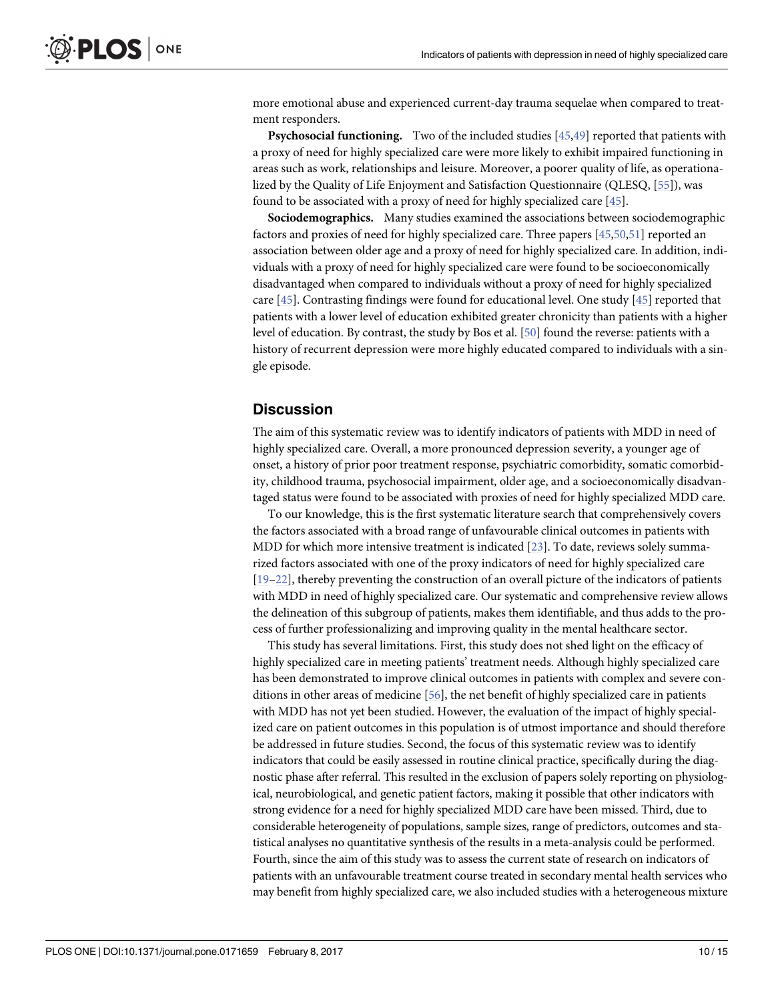<span id="page-9-0"></span>more emotional abuse and experienced current-day trauma sequelae when compared to treatment responders.

**Psychosocial functioning.** Two of the included studies [\[45,49](#page-13-0)] reported that patients with a proxy of need for highly specialized care were more likely to exhibit impaired functioning in areas such as work, relationships and leisure. Moreover, a poorer quality of life, as operationalized by the Quality of Life Enjoyment and Satisfaction Questionnaire (QLESQ, [\[55\]](#page-13-0)), was found to be associated with a proxy of need for highly specialized care [\[45\]](#page-13-0).

**Sociodemographics.** Many studies examined the associations between sociodemographic factors and proxies of need for highly specialized care. Three papers [\[45,50](#page-13-0),[51\]](#page-13-0) reported an association between older age and a proxy of need for highly specialized care. In addition, individuals with a proxy of need for highly specialized care were found to be socioeconomically disadvantaged when compared to individuals without a proxy of need for highly specialized care [\[45\]](#page-13-0). Contrasting findings were found for educational level. One study [\[45\]](#page-13-0) reported that patients with a lower level of education exhibited greater chronicity than patients with a higher level of education. By contrast, the study by Bos et al. [[50](#page-13-0)] found the reverse: patients with a history of recurrent depression were more highly educated compared to individuals with a single episode.

# **Discussion**

The aim of this systematic review was to identify indicators of patients with MDD in need of highly specialized care. Overall, a more pronounced depression severity, a younger age of onset, a history of prior poor treatment response, psychiatric comorbidity, somatic comorbidity, childhood trauma, psychosocial impairment, older age, and a socioeconomically disadvantaged status were found to be associated with proxies of need for highly specialized MDD care.

To our knowledge, this is the first systematic literature search that comprehensively covers the factors associated with a broad range of unfavourable clinical outcomes in patients with MDD for which more intensive treatment is indicated [\[23\]](#page-12-0). To date, reviews solely summarized factors associated with one of the proxy indicators of need for highly specialized care [\[19–22\]](#page-12-0), thereby preventing the construction of an overall picture of the indicators of patients with MDD in need of highly specialized care. Our systematic and comprehensive review allows the delineation of this subgroup of patients, makes them identifiable, and thus adds to the process of further professionalizing and improving quality in the mental healthcare sector.

This study has several limitations. First, this study does not shed light on the efficacy of highly specialized care in meeting patients' treatment needs. Although highly specialized care has been demonstrated to improve clinical outcomes in patients with complex and severe conditions in other areas of medicine [\[56](#page-13-0)], the net benefit of highly specialized care in patients with MDD has not yet been studied. However, the evaluation of the impact of highly specialized care on patient outcomes in this population is of utmost importance and should therefore be addressed in future studies. Second, the focus of this systematic review was to identify indicators that could be easily assessed in routine clinical practice, specifically during the diagnostic phase after referral. This resulted in the exclusion of papers solely reporting on physiological, neurobiological, and genetic patient factors, making it possible that other indicators with strong evidence for a need for highly specialized MDD care have been missed. Third, due to considerable heterogeneity of populations, sample sizes, range of predictors, outcomes and statistical analyses no quantitative synthesis of the results in a meta-analysis could be performed. Fourth, since the aim of this study was to assess the current state of research on indicators of patients with an unfavourable treatment course treated in secondary mental health services who may benefit from highly specialized care, we also included studies with a heterogeneous mixture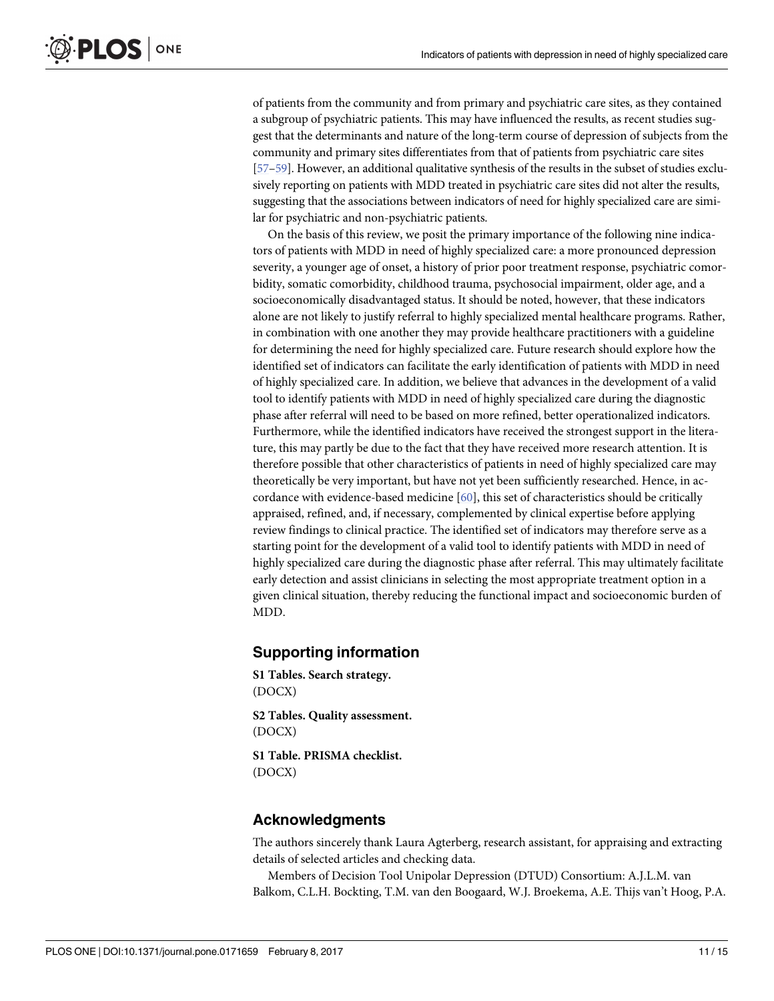<span id="page-10-0"></span>of patients from the community and from primary and psychiatric care sites, as they contained a subgroup of psychiatric patients. This may have influenced the results, as recent studies suggest that the determinants and nature of the long-term course of depression of subjects from the community and primary sites differentiates from that of patients from psychiatric care sites [\[57–59](#page-14-0)]. However, an additional qualitative synthesis of the results in the subset of studies exclusively reporting on patients with MDD treated in psychiatric care sites did not alter the results, suggesting that the associations between indicators of need for highly specialized care are similar for psychiatric and non-psychiatric patients.

On the basis of this review, we posit the primary importance of the following nine indicators of patients with MDD in need of highly specialized care: a more pronounced depression severity, a younger age of onset, a history of prior poor treatment response, psychiatric comorbidity, somatic comorbidity, childhood trauma, psychosocial impairment, older age, and a socioeconomically disadvantaged status. It should be noted, however, that these indicators alone are not likely to justify referral to highly specialized mental healthcare programs. Rather, in combination with one another they may provide healthcare practitioners with a guideline for determining the need for highly specialized care. Future research should explore how the identified set of indicators can facilitate the early identification of patients with MDD in need of highly specialized care. In addition, we believe that advances in the development of a valid tool to identify patients with MDD in need of highly specialized care during the diagnostic phase after referral will need to be based on more refined, better operationalized indicators. Furthermore, while the identified indicators have received the strongest support in the literature, this may partly be due to the fact that they have received more research attention. It is therefore possible that other characteristics of patients in need of highly specialized care may theoretically be very important, but have not yet been sufficiently researched. Hence, in accordance with evidence-based medicine [[60](#page-14-0)], this set of characteristics should be critically appraised, refined, and, if necessary, complemented by clinical expertise before applying review findings to clinical practice. The identified set of indicators may therefore serve as a starting point for the development of a valid tool to identify patients with MDD in need of highly specialized care during the diagnostic phase after referral. This may ultimately facilitate early detection and assist clinicians in selecting the most appropriate treatment option in a given clinical situation, thereby reducing the functional impact and socioeconomic burden of MDD.

# **Supporting information**

**S1 [Tables](http://www.plosone.org/article/fetchSingleRepresentation.action?uri=info:doi/10.1371/journal.pone.0171659.s001). Search strategy.** (DOCX)

**S2 [Tables](http://www.plosone.org/article/fetchSingleRepresentation.action?uri=info:doi/10.1371/journal.pone.0171659.s002). Quality assessment.** (DOCX)

**S1 [Table.](http://www.plosone.org/article/fetchSingleRepresentation.action?uri=info:doi/10.1371/journal.pone.0171659.s003) PRISMA checklist.** (DOCX)

# **Acknowledgments**

The authors sincerely thank Laura Agterberg, research assistant, for appraising and extracting details of selected articles and checking data.

Members of Decision Tool Unipolar Depression (DTUD) Consortium: A.J.L.M. van Balkom, C.L.H. Bockting, T.M. van den Boogaard, W.J. Broekema, A.E. Thijs van't Hoog, P.A.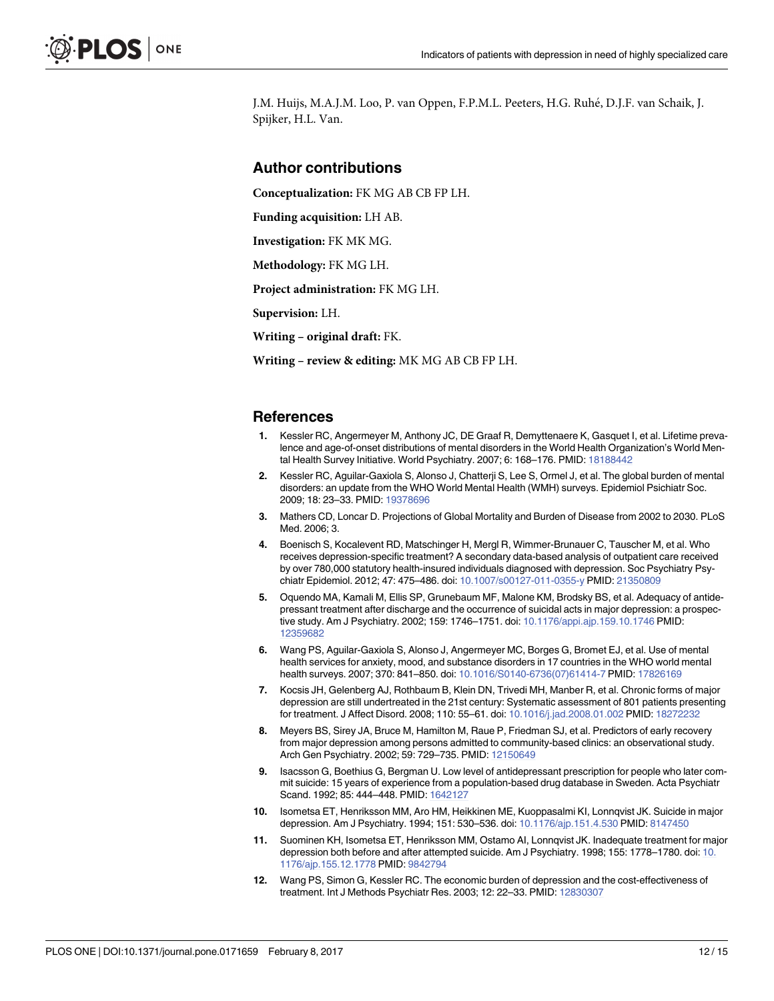<span id="page-11-0"></span>J.M. Huijs, M.A.J.M. Loo, P. van Oppen, F.P.M.L. Peeters, H.G. Ruhé, D.J.F. van Schaik, J. Spijker, H.L. Van.

#### **Author contributions**

**Conceptualization:** FK MG AB CB FP LH.

**Funding acquisition:** LH AB.

**Investigation:** FK MK MG.

**Methodology:** FK MG LH.

**Project administration:** FK MG LH.

**Supervision:** LH.

**Writing – original draft:** FK.

**Writing – review & editing:** MK MG AB CB FP LH.

#### **References**

- **[1](#page-1-0).** Kessler RC, Angermeyer M, Anthony JC, DE Graaf R, Demyttenaere K, Gasquet I, et al. Lifetime prevalence and age-of-onset distributions of mental disorders in the World Health Organization's World Mental Health Survey Initiative. World Psychiatry. 2007; 6: 168–176. PMID: [18188442](http://www.ncbi.nlm.nih.gov/pubmed/18188442)
- **[2](#page-1-0).** Kessler RC, Aguilar-Gaxiola S, Alonso J, Chatterji S, Lee S, Ormel J, et al. The global burden of mental disorders: an update from the WHO World Mental Health (WMH) surveys. Epidemiol Psichiatr Soc. 2009; 18: 23–33. PMID: [19378696](http://www.ncbi.nlm.nih.gov/pubmed/19378696)
- **[3](#page-1-0).** Mathers CD, Loncar D. Projections of Global Mortality and Burden of Disease from 2002 to 2030. PLoS Med. 2006; 3.
- **[4](#page-1-0).** Boenisch S, Kocalevent RD, Matschinger H, Mergl R, Wimmer-Brunauer C, Tauscher M, et al. Who receives depression-specific treatment? A secondary data-based analysis of outpatient care received by over 780,000 statutory health-insured individuals diagnosed with depression. Soc Psychiatry Psychiatr Epidemiol. 2012; 47: 475–486. doi: [10.1007/s00127-011-0355-y](http://dx.doi.org/10.1007/s00127-011-0355-y) PMID: [21350809](http://www.ncbi.nlm.nih.gov/pubmed/21350809)
- **5.** Oquendo MA, Kamali M, Ellis SP, Grunebaum MF, Malone KM, Brodsky BS, et al. Adequacy of antidepressant treatment after discharge and the occurrence of suicidal acts in major depression: a prospective study. Am J Psychiatry. 2002; 159: 1746–1751. doi: [10.1176/appi.ajp.159.10.1746](http://dx.doi.org/10.1176/appi.ajp.159.10.1746) PMID: [12359682](http://www.ncbi.nlm.nih.gov/pubmed/12359682)
- **6.** Wang PS, Aguilar-Gaxiola S, Alonso J, Angermeyer MC, Borges G, Bromet EJ, et al. Use of mental health services for anxiety, mood, and substance disorders in 17 countries in the WHO world mental health surveys. 2007; 370: 841–850. doi: [10.1016/S0140-6736\(07\)61414-7](http://dx.doi.org/10.1016/S0140-6736(07)61414-7) PMID: [17826169](http://www.ncbi.nlm.nih.gov/pubmed/17826169)
- **[7](#page-1-0).** Kocsis JH, Gelenberg AJ, Rothbaum B, Klein DN, Trivedi MH, Manber R, et al. Chronic forms of major depression are still undertreated in the 21st century: Systematic assessment of 801 patients presenting for treatment. J Affect Disord. 2008; 110: 55–61. doi: [10.1016/j.jad.2008.01.002](http://dx.doi.org/10.1016/j.jad.2008.01.002) PMID: [18272232](http://www.ncbi.nlm.nih.gov/pubmed/18272232)
- **[8](#page-1-0).** Meyers BS, Sirey JA, Bruce M, Hamilton M, Raue P, Friedman SJ, et al. Predictors of early recovery from major depression among persons admitted to community-based clinics: an observational study. Arch Gen Psychiatry. 2002; 59: 729–735. PMID: [12150649](http://www.ncbi.nlm.nih.gov/pubmed/12150649)
- **[9](#page-1-0).** Isacsson G, Boethius G, Bergman U. Low level of antidepressant prescription for people who later commit suicide: 15 years of experience from a population-based drug database in Sweden. Acta Psychiatr Scand. 1992; 85: 444–448. PMID: [1642127](http://www.ncbi.nlm.nih.gov/pubmed/1642127)
- **10.** Isometsa ET, Henriksson MM, Aro HM, Heikkinen ME, Kuoppasalmi KI, Lonnqvist JK. Suicide in major depression. Am J Psychiatry. 1994; 151: 530–536. doi: [10.1176/ajp.151.4.530](http://dx.doi.org/10.1176/ajp.151.4.530) PMID: [8147450](http://www.ncbi.nlm.nih.gov/pubmed/8147450)
- **[11](#page-1-0).** Suominen KH, Isometsa ET, Henriksson MM, Ostamo AI, Lonnqvist JK. Inadequate treatment for major depression both before and after attempted suicide. Am J Psychiatry. 1998; 155: 1778–1780. doi: [10.](http://dx.doi.org/10.1176/ajp.155.12.1778) [1176/ajp.155.12.1778](http://dx.doi.org/10.1176/ajp.155.12.1778) PMID: [9842794](http://www.ncbi.nlm.nih.gov/pubmed/9842794)
- **[12](#page-1-0).** Wang PS, Simon G, Kessler RC. The economic burden of depression and the cost-effectiveness of treatment. Int J Methods Psychiatr Res. 2003; 12: 22–33. PMID: [12830307](http://www.ncbi.nlm.nih.gov/pubmed/12830307)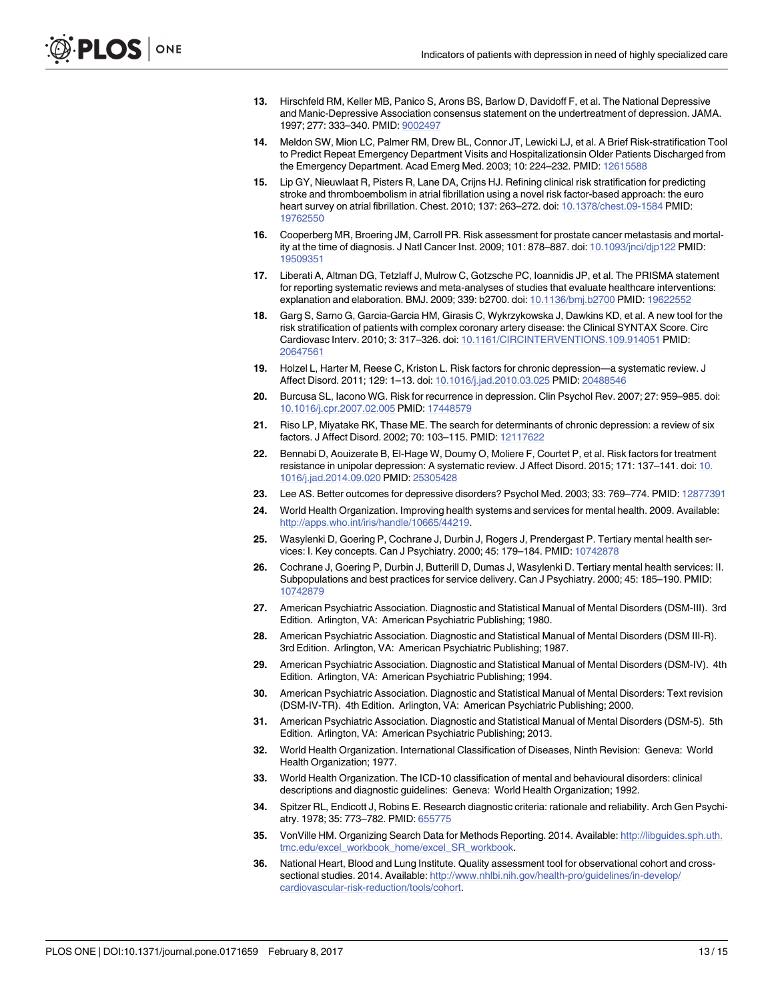- <span id="page-12-0"></span>**[13](#page-1-0).** Hirschfeld RM, Keller MB, Panico S, Arons BS, Barlow D, Davidoff F, et al. The National Depressive and Manic-Depressive Association consensus statement on the undertreatment of depression. JAMA. 1997; 277: 333–340. PMID: [9002497](http://www.ncbi.nlm.nih.gov/pubmed/9002497)
- **[14](#page-1-0).** Meldon SW, Mion LC, Palmer RM, Drew BL, Connor JT, Lewicki LJ, et al. A Brief Risk-stratification Tool to Predict Repeat Emergency Department Visits and Hospitalizationsin Older Patients Discharged from the Emergency Department. Acad Emerg Med. 2003; 10: 224–232. PMID: [12615588](http://www.ncbi.nlm.nih.gov/pubmed/12615588)
- **15.** Lip GY, Nieuwlaat R, Pisters R, Lane DA, Crijns HJ. Refining clinical risk stratification for predicting stroke and thromboembolism in atrial fibrillation using a novel risk factor-based approach: the euro heart survey on atrial fibrillation. Chest. 2010; 137: 263–272. doi: [10.1378/chest.09-1584](http://dx.doi.org/10.1378/chest.09-1584) PMID: [19762550](http://www.ncbi.nlm.nih.gov/pubmed/19762550)
- **16.** Cooperberg MR, Broering JM, Carroll PR. Risk assessment for prostate cancer metastasis and mortality at the time of diagnosis. J Natl Cancer Inst. 2009; 101: 878–887. doi: [10.1093/jnci/djp122](http://dx.doi.org/10.1093/jnci/djp122) PMID: [19509351](http://www.ncbi.nlm.nih.gov/pubmed/19509351)
- **[17](#page-3-0).** Liberati A, Altman DG, Tetzlaff J, Mulrow C, Gotzsche PC, Ioannidis JP, et al. The PRISMA statement for reporting systematic reviews and meta-analyses of studies that evaluate healthcare interventions: explanation and elaboration. BMJ. 2009; 339: b2700. doi: [10.1136/bmj.b2700](http://dx.doi.org/10.1136/bmj.b2700) PMID: [19622552](http://www.ncbi.nlm.nih.gov/pubmed/19622552)
- **[18](#page-1-0).** Garg S, Sarno G, Garcia-Garcia HM, Girasis C, Wykrzykowska J, Dawkins KD, et al. A new tool for the risk stratification of patients with complex coronary artery disease: the Clinical SYNTAX Score. Circ Cardiovasc Interv. 2010; 3: 317–326. doi: [10.1161/CIRCINTERVENTIONS.109.914051](http://dx.doi.org/10.1161/CIRCINTERVENTIONS.109.914051) PMID: [20647561](http://www.ncbi.nlm.nih.gov/pubmed/20647561)
- **[19](#page-1-0).** Holzel L, Harter M, Reese C, Kriston L. Risk factors for chronic depression—a systematic review. J Affect Disord. 2011; 129: 1–13. doi: [10.1016/j.jad.2010.03.025](http://dx.doi.org/10.1016/j.jad.2010.03.025) PMID: [20488546](http://www.ncbi.nlm.nih.gov/pubmed/20488546)
- **20.** Burcusa SL, Iacono WG. Risk for recurrence in depression. Clin Psychol Rev. 2007; 27: 959–985. doi: [10.1016/j.cpr.2007.02.005](http://dx.doi.org/10.1016/j.cpr.2007.02.005) PMID: [17448579](http://www.ncbi.nlm.nih.gov/pubmed/17448579)
- **21.** Riso LP, Miyatake RK, Thase ME. The search for determinants of chronic depression: a review of six factors. J Affect Disord. 2002; 70: 103–115. PMID: [12117622](http://www.ncbi.nlm.nih.gov/pubmed/12117622)
- **[22](#page-1-0).** Bennabi D, Aouizerate B, El-Hage W, Doumy O, Moliere F, Courtet P, et al. Risk factors for treatment resistance in unipolar depression: A systematic review. J Affect Disord. 2015; 171: 137–141. doi: [10.](http://dx.doi.org/10.1016/j.jad.2014.09.020) [1016/j.jad.2014.09.020](http://dx.doi.org/10.1016/j.jad.2014.09.020) PMID: [25305428](http://www.ncbi.nlm.nih.gov/pubmed/25305428)
- **[23](#page-1-0).** Lee AS. Better outcomes for depressive disorders? Psychol Med. 2003; 33: 769–774. PMID: [12877391](http://www.ncbi.nlm.nih.gov/pubmed/12877391)
- **[24](#page-1-0).** World Health Organization. Improving health systems and services for mental health. 2009. Available: <http://apps.who.int/iris/handle/10665/44219>.
- **[25](#page-2-0).** Wasylenki D, Goering P, Cochrane J, Durbin J, Rogers J, Prendergast P. Tertiary mental health services: I. Key concepts. Can J Psychiatry. 2000; 45: 179–184. PMID: [10742878](http://www.ncbi.nlm.nih.gov/pubmed/10742878)
- **[26](#page-2-0).** Cochrane J, Goering P, Durbin J, Butterill D, Dumas J, Wasylenki D. Tertiary mental health services: II. Subpopulations and best practices for service delivery. Can J Psychiatry. 2000; 45: 185–190. PMID: [10742879](http://www.ncbi.nlm.nih.gov/pubmed/10742879)
- **[27](#page-2-0).** American Psychiatric Association. Diagnostic and Statistical Manual of Mental Disorders (DSM-III). 3rd Edition. Arlington, VA: American Psychiatric Publishing; 1980.
- **[28](#page-2-0).** American Psychiatric Association. Diagnostic and Statistical Manual of Mental Disorders (DSM III-R). 3rd Edition. Arlington, VA: American Psychiatric Publishing; 1987.
- **[29](#page-2-0).** American Psychiatric Association. Diagnostic and Statistical Manual of Mental Disorders (DSM-IV). 4th Edition. Arlington, VA: American Psychiatric Publishing; 1994.
- **[30](#page-2-0).** American Psychiatric Association. Diagnostic and Statistical Manual of Mental Disorders: Text revision (DSM-IV-TR). 4th Edition. Arlington, VA: American Psychiatric Publishing; 2000.
- **[31](#page-2-0).** American Psychiatric Association. Diagnostic and Statistical Manual of Mental Disorders (DSM-5). 5th Edition. Arlington, VA: American Psychiatric Publishing; 2013.
- **[32](#page-2-0).** World Health Organization. International Classification of Diseases, Ninth Revision: Geneva: World Health Organization; 1977.
- **[33](#page-2-0).** World Health Organization. The ICD-10 classification of mental and behavioural disorders: clinical descriptions and diagnostic guidelines: Geneva: World Health Organization; 1992.
- **[34](#page-2-0).** Spitzer RL, Endicott J, Robins E. Research diagnostic criteria: rationale and reliability. Arch Gen Psychiatry. 1978; 35: 773–782. PMID: [655775](http://www.ncbi.nlm.nih.gov/pubmed/655775)
- **[35](#page-3-0).** VonVille HM. Organizing Search Data for Methods Reporting. 2014. Available: [http://libguides.sph.uth.](http://libguides.sph.uth.tmc.edu/excel_workbook_home/excel_SR_workbook) [tmc.edu/excel\\_workbook\\_home/excel\\_SR\\_workbook](http://libguides.sph.uth.tmc.edu/excel_workbook_home/excel_SR_workbook).
- **[36](#page-4-0).** National Heart, Blood and Lung Institute. Quality assessment tool for observational cohort and crosssectional studies. 2014. Available: [http://www.nhlbi.nih.gov/health-pro/guidelines/in-develop/](http://www.nhlbi.nih.gov/health-pro/guidelines/in-develop/cardiovascular-risk-reduction/tools/cohort) [cardiovascular-risk-reduction/tools/cohort.](http://www.nhlbi.nih.gov/health-pro/guidelines/in-develop/cardiovascular-risk-reduction/tools/cohort)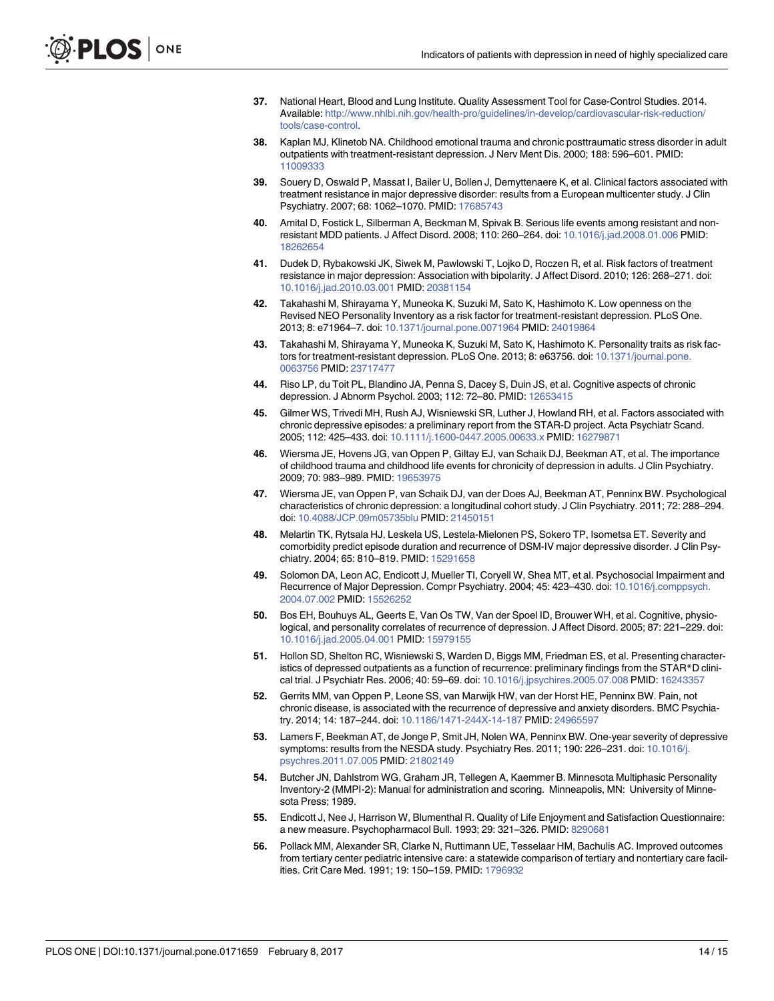- <span id="page-13-0"></span>**[37](#page-4-0).** National Heart, Blood and Lung Institute. Quality Assessment Tool for Case-Control Studies. 2014. Available: [http://www.nhlbi.nih.gov/health-pro/guidelines/in-develop/cardiovascular-risk-reduction/](http://www.nhlbi.nih.gov/health-pro/guidelines/in-develop/cardiovascular-risk-reduction/tools/case-control) [tools/case-control](http://www.nhlbi.nih.gov/health-pro/guidelines/in-develop/cardiovascular-risk-reduction/tools/case-control).
- **[38](#page-4-0).** Kaplan MJ, Klinetob NA. Childhood emotional trauma and chronic posttraumatic stress disorder in adult outpatients with treatment-resistant depression. J Nerv Ment Dis. 2000; 188: 596–601. PMID: [11009333](http://www.ncbi.nlm.nih.gov/pubmed/11009333)
- **[39](#page-5-0).** Souery D, Oswald P, Massat I, Bailer U, Bollen J, Demyttenaere K, et al. Clinical factors associated with treatment resistance in major depressive disorder: results from a European multicenter study. J Clin Psychiatry. 2007; 68: 1062–1070. PMID: [17685743](http://www.ncbi.nlm.nih.gov/pubmed/17685743)
- **[40](#page-6-0).** Amital D, Fostick L, Silberman A, Beckman M, Spivak B. Serious life events among resistant and nonresistant MDD patients. J Affect Disord. 2008; 110: 260–264. doi: [10.1016/j.jad.2008.01.006](http://dx.doi.org/10.1016/j.jad.2008.01.006) PMID: [18262654](http://www.ncbi.nlm.nih.gov/pubmed/18262654)
- **[41](#page-4-0).** Dudek D, Rybakowski JK, Siwek M, Pawlowski T, Lojko D, Roczen R, et al. Risk factors of treatment resistance in major depression: Association with bipolarity. J Affect Disord. 2010; 126: 268–271. doi: [10.1016/j.jad.2010.03.001](http://dx.doi.org/10.1016/j.jad.2010.03.001) PMID: [20381154](http://www.ncbi.nlm.nih.gov/pubmed/20381154)
- **[42](#page-6-0).** Takahashi M, Shirayama Y, Muneoka K, Suzuki M, Sato K, Hashimoto K. Low openness on the Revised NEO Personality Inventory as a risk factor for treatment-resistant depression. PLoS One. 2013; 8: e71964–7. doi: [10.1371/journal.pone.0071964](http://dx.doi.org/10.1371/journal.pone.0071964) PMID: [24019864](http://www.ncbi.nlm.nih.gov/pubmed/24019864)
- **[43](#page-4-0).** Takahashi M, Shirayama Y, Muneoka K, Suzuki M, Sato K, Hashimoto K. Personality traits as risk factors for treatment-resistant depression. PLoS One. 2013; 8: e63756. doi: [10.1371/journal.pone.](http://dx.doi.org/10.1371/journal.pone.0063756) [0063756](http://dx.doi.org/10.1371/journal.pone.0063756) PMID: [23717477](http://www.ncbi.nlm.nih.gov/pubmed/23717477)
- **[44](#page-4-0).** Riso LP, du Toit PL, Blandino JA, Penna S, Dacey S, Duin JS, et al. Cognitive aspects of chronic depression. J Abnorm Psychol. 2003; 112: 72–80. PMID: [12653415](http://www.ncbi.nlm.nih.gov/pubmed/12653415)
- **[45](#page-6-0).** Gilmer WS, Trivedi MH, Rush AJ, Wisniewski SR, Luther J, Howland RH, et al. Factors associated with chronic depressive episodes: a preliminary report from the STAR-D project. Acta Psychiatr Scand. 2005; 112: 425–433. doi: [10.1111/j.1600-0447.2005.00633.x](http://dx.doi.org/10.1111/j.1600-0447.2005.00633.x) PMID: [16279871](http://www.ncbi.nlm.nih.gov/pubmed/16279871)
- **[46](#page-5-0).** Wiersma JE, Hovens JG, van Oppen P, Giltay EJ, van Schaik DJ, Beekman AT, et al. The importance of childhood trauma and childhood life events for chronicity of depression in adults. J Clin Psychiatry. 2009; 70: 983–989. PMID: [19653975](http://www.ncbi.nlm.nih.gov/pubmed/19653975)
- **[47](#page-4-0).** Wiersma JE, van Oppen P, van Schaik DJ, van der Does AJ, Beekman AT, Penninx BW. Psychological characteristics of chronic depression: a longitudinal cohort study. J Clin Psychiatry. 2011; 72: 288–294. doi: [10.4088/JCP.09m05735blu](http://dx.doi.org/10.4088/JCP.09m05735blu) PMID: [21450151](http://www.ncbi.nlm.nih.gov/pubmed/21450151)
- **[48](#page-4-0).** Melartin TK, Rytsala HJ, Leskela US, Lestela-Mielonen PS, Sokero TP, Isometsa ET. Severity and comorbidity predict episode duration and recurrence of DSM-IV major depressive disorder. J Clin Psychiatry. 2004; 65: 810–819. PMID: [15291658](http://www.ncbi.nlm.nih.gov/pubmed/15291658)
- **[49](#page-6-0).** Solomon DA, Leon AC, Endicott J, Mueller TI, Coryell W, Shea MT, et al. Psychosocial Impairment and Recurrence of Major Depression. Compr Psychiatry. 2004; 45: 423–430. doi: [10.1016/j.comppsych.](http://dx.doi.org/10.1016/j.comppsych.2004.07.002) [2004.07.002](http://dx.doi.org/10.1016/j.comppsych.2004.07.002) PMID: [15526252](http://www.ncbi.nlm.nih.gov/pubmed/15526252)
- **[50](#page-6-0).** Bos EH, Bouhuys AL, Geerts E, Van Os TW, Van der Spoel ID, Brouwer WH, et al. Cognitive, physiological, and personality correlates of recurrence of depression. J Affect Disord. 2005; 87: 221–229. doi: [10.1016/j.jad.2005.04.001](http://dx.doi.org/10.1016/j.jad.2005.04.001) PMID: [15979155](http://www.ncbi.nlm.nih.gov/pubmed/15979155)
- **[51](#page-5-0).** Hollon SD, Shelton RC, Wisniewski S, Warden D, Biggs MM, Friedman ES, et al. Presenting characteristics of depressed outpatients as a function of recurrence: preliminary findings from the STAR\*D clinical trial. J Psychiatr Res. 2006; 40: 59–69. doi: [10.1016/j.jpsychires.2005.07.008](http://dx.doi.org/10.1016/j.jpsychires.2005.07.008) PMID: [16243357](http://www.ncbi.nlm.nih.gov/pubmed/16243357)
- **[52](#page-4-0).** Gerrits MM, van Oppen P, Leone SS, van Marwijk HW, van der Horst HE, Penninx BW. Pain, not chronic disease, is associated with the recurrence of depressive and anxiety disorders. BMC Psychiatry. 2014; 14: 187–244. doi: [10.1186/1471-244X-14-187](http://dx.doi.org/10.1186/1471-244X-14-187) PMID: [24965597](http://www.ncbi.nlm.nih.gov/pubmed/24965597)
- **[53](#page-4-0).** Lamers F, Beekman AT, de Jonge P, Smit JH, Nolen WA, Penninx BW. One-year severity of depressive symptoms: results from the NESDA study. Psychiatry Res. 2011; 190: 226–231. doi: [10.1016/j.](http://dx.doi.org/10.1016/j.psychres.2011.07.005) [psychres.2011.07.005](http://dx.doi.org/10.1016/j.psychres.2011.07.005) PMID: [21802149](http://www.ncbi.nlm.nih.gov/pubmed/21802149)
- **[54](#page-8-0).** Butcher JN, Dahlstrom WG, Graham JR, Tellegen A, Kaemmer B. Minnesota Multiphasic Personality Inventory-2 (MMPI-2): Manual for administration and scoring. Minneapolis, MN: University of Minnesota Press; 1989.
- **[55](#page-9-0).** Endicott J, Nee J, Harrison W, Blumenthal R. Quality of Life Enjoyment and Satisfaction Questionnaire: a new measure. Psychopharmacol Bull. 1993; 29: 321–326. PMID: [8290681](http://www.ncbi.nlm.nih.gov/pubmed/8290681)
- **[56](#page-9-0).** Pollack MM, Alexander SR, Clarke N, Ruttimann UE, Tesselaar HM, Bachulis AC. Improved outcomes from tertiary center pediatric intensive care: a statewide comparison of tertiary and nontertiary care facilities. Crit Care Med. 1991; 19: 150–159. PMID: [1796932](http://www.ncbi.nlm.nih.gov/pubmed/1796932)